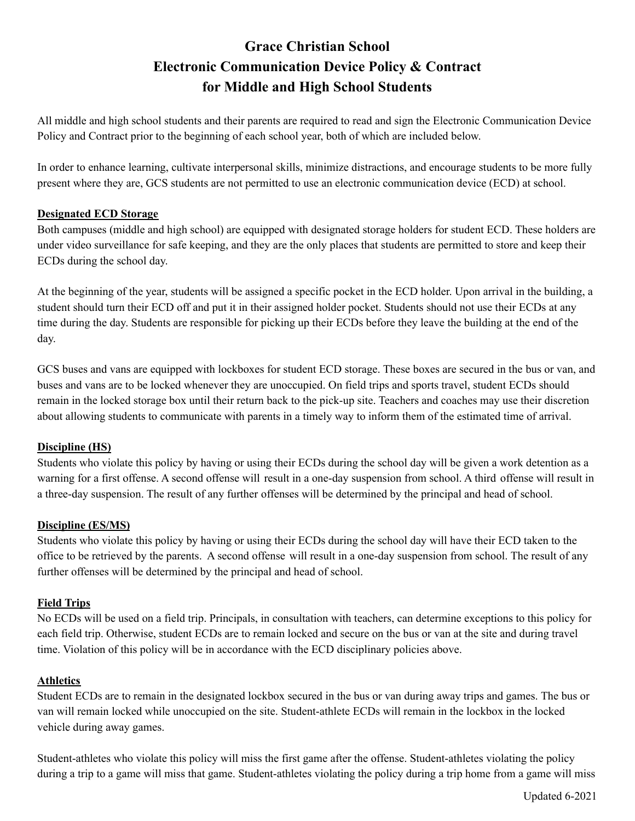# **Grace Christian School Electronic Communication Device Policy & Contract for Middle and High School Students**

All middle and high school students and their parents are required to read and sign the Electronic Communication Device Policy and Contract prior to the beginning of each school year, both of which are included below.

In order to enhance learning, cultivate interpersonal skills, minimize distractions, and encourage students to be more fully present where they are, GCS students are not permitted to use an electronic communication device (ECD) at school.

#### **Designated ECD Storage**

Both campuses (middle and high school) are equipped with designated storage holders for student ECD. These holders are under video surveillance for safe keeping, and they are the only places that students are permitted to store and keep their ECDs during the school day.

At the beginning of the year, students will be assigned a specific pocket in the ECD holder. Upon arrival in the building, a student should turn their ECD off and put it in their assigned holder pocket. Students should not use their ECDs at any time during the day. Students are responsible for picking up their ECDs before they leave the building at the end of the day.

GCS buses and vans are equipped with lockboxes for student ECD storage. These boxes are secured in the bus or van, and buses and vans are to be locked whenever they are unoccupied. On field trips and sports travel, student ECDs should remain in the locked storage box until their return back to the pick-up site. Teachers and coaches may use their discretion about allowing students to communicate with parents in a timely way to inform them of the estimated time of arrival.

### **Discipline (HS)**

Students who violate this policy by having or using their ECDs during the school day will be given a work detention as a warning for a first offense. A second offense will result in a one-day suspension from school. A third offense will result in a three-day suspension. The result of any further offenses will be determined by the principal and head of school.

### **Discipline (ES/MS)**

Students who violate this policy by having or using their ECDs during the school day will have their ECD taken to the office to be retrieved by the parents. A second offense will result in a one-day suspension from school. The result of any further offenses will be determined by the principal and head of school.

#### **Field Trips**

No ECDs will be used on a field trip. Principals, in consultation with teachers, can determine exceptions to this policy for each field trip. Otherwise, student ECDs are to remain locked and secure on the bus or van at the site and during travel time. Violation of this policy will be in accordance with the ECD disciplinary policies above.

#### **Athletics**

Student ECDs are to remain in the designated lockbox secured in the bus or van during away trips and games. The bus or van will remain locked while unoccupied on the site. Student-athlete ECDs will remain in the lockbox in the locked vehicle during away games.

Student-athletes who violate this policy will miss the first game after the offense. Student-athletes violating the policy during a trip to a game will miss that game. Student-athletes violating the policy during a trip home from a game will miss